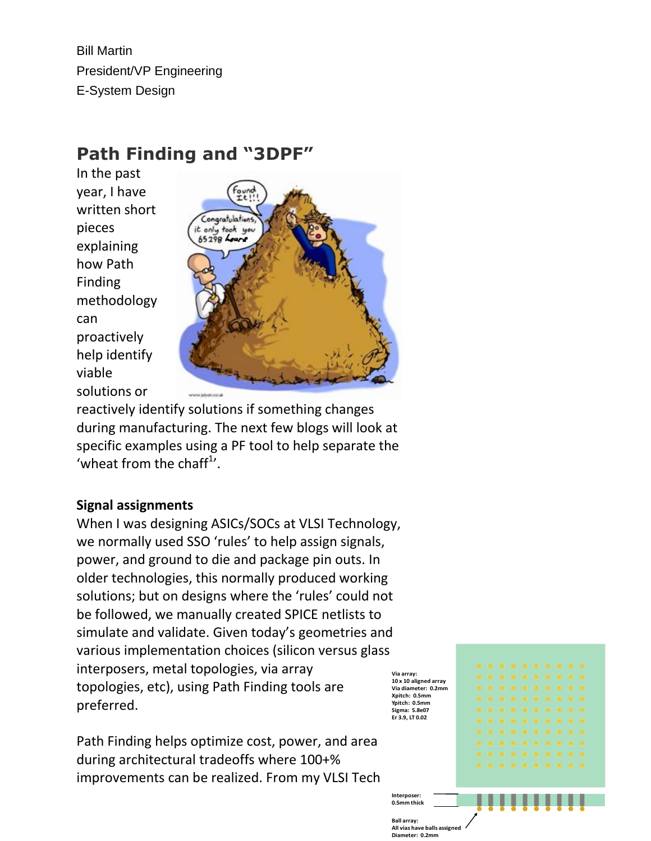Bill Martin President/VP Engineering E-System Design

# **Path Finding and "3DPF"**

In the past year, I have written short pieces explaining how Path Finding methodology can proactively help identify viable solutions or



reactively identify solutions if something changes during manufacturing. The next few blogs will look at specific examples using a PF tool to help separate the 'wheat from the chaff $1$ '.

## **Signal assignments**

**Via array: Sigma: 5.8e07** When I was designing ASICs/SOCs at VLSI Technology, we normally used SSO 'rules' to help assign signals, power, and ground to die and package pin outs. In older technologies, this normally produced working solutions; but on designs where the 'rules' could not be followed, we manually created SPICE netlists to simulate and validate. Given today's geometries and various implementation choices (silicon versus glass interposers, metal topologies, via array topologies, etc), using Path Finding tools are preferred.

Path Finding helps optimize cost, power, and area during architectural tradeoffs where 100+% improvements can be realized. From my VLSI Tech



**Interpos**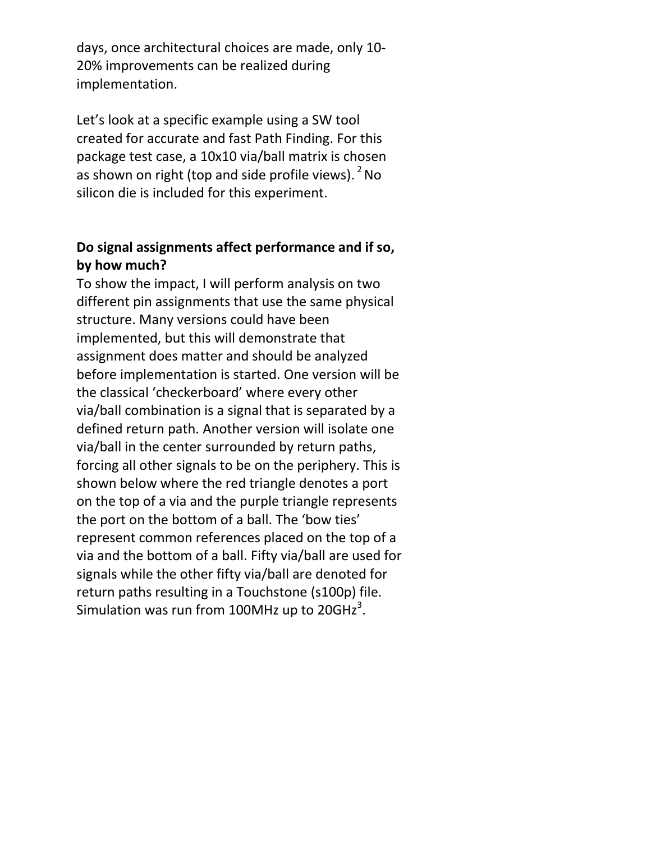days, once architectural choices are made, only 10- 20% improvements can be realized during implementation.

Let's look at a specific example using a SW tool created for accurate and fast Path Finding. For this package test case, a 10x10 via/ball matrix is chosen as shown on right (top and side profile views).  $^{2}$  No silicon die is included for this experiment.

# **Do signal assignments affect performance and if so, by how much?**

To show the impact, I will perform analysis on two different pin assignments that use the same physical structure. Many versions could have been implemented, but this will demonstrate that assignment does matter and should be analyzed before implementation is started. One version will be the classical 'checkerboard' where every other via/ball combination is a signal that is separated by a defined return path. Another version will isolate one via/ball in the center surrounded by return paths, forcing all other signals to be on the periphery. This is shown below where the red triangle denotes a port on the top of a via and the purple triangle represents the port on the bottom of a ball. The 'bow ties' represent common references placed on the top of a via and the bottom of a ball. Fifty via/ball are used for signals while the other fifty via/ball are denoted for return paths resulting in a Touchstone (s100p) file. Simulation was run from 100MHz up to 20GHz $^3$ .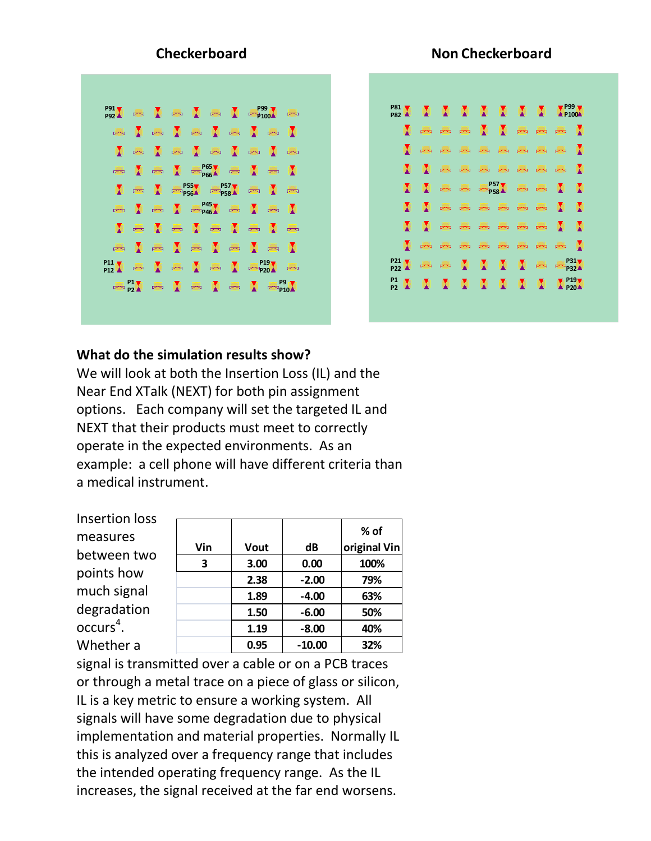

#### **What do the simulation results show?**

We will look at both the Insertion Loss (IL) and the Near End XTalk (NEXT) for both pin assignment options. Each company will set the targeted IL and NEXT that their products must meet to correctly operate in the expected environments. As an example: a cell phone will have different criteria than a medical instrument.

Insertion loss measures between two points how much signal degradation  $occurs<sup>4</sup>$ . Whether a

|     |      |          | $%$ of       |
|-----|------|----------|--------------|
| Vin | Vout | dB       | original Vin |
| 3   | 3.00 | 0.00     | 100%         |
|     | 2.38 | $-2.00$  | 79%          |
|     | 1.89 | $-4.00$  | 63%          |
|     | 1.50 | $-6.00$  | 50%          |
|     | 1.19 | $-8.00$  | 40%          |
|     | 0.95 | $-10.00$ | 32%          |

signal is transmitted over a cable or on a PCB traces or through a metal trace on a piece of glass or silicon, IL is a key metric to ensure a working system. All signals will have some degradation due to physical implementation and material properties. Normally IL this is analyzed over a frequency range that includes the intended operating frequency range. As the IL increases, the signal received at the far end worsens.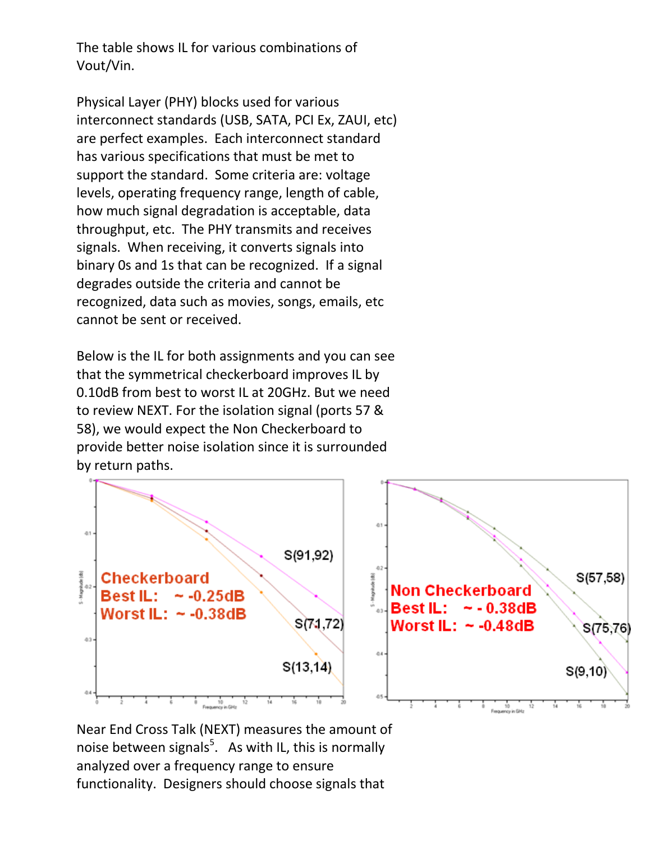The table shows IL for various combinations of Vout/Vin.

Physical Layer (PHY) blocks used for various interconnect standards (USB, SATA, PCI Ex, ZAUI, etc) are perfect examples. Each interconnect standard has various specifications that must be met to support the standard. Some criteria are: voltage levels, operating frequency range, length of cable, how much signal degradation is acceptable, data throughput, etc. The PHY transmits and receives signals. When receiving, it converts signals into binary 0s and 1s that can be recognized. If a signal degrades outside the criteria and cannot be recognized, data such as movies, songs, emails, etc cannot be sent or received.

Below is the IL for both assignments and you can see that the symmetrical checkerboard improves IL by 0.10dB from best to worst IL at 20GHz. But we need to review NEXT. For the isolation signal (ports 57 & 58), we would expect the Non Checkerboard to provide better noise isolation since it is surrounded by return paths.



Near End Cross Talk (NEXT) measures the amount of noise between signals<sup>5</sup>. As with IL, this is normally analyzed over a frequency range to ensure functionality. Designers should choose signals that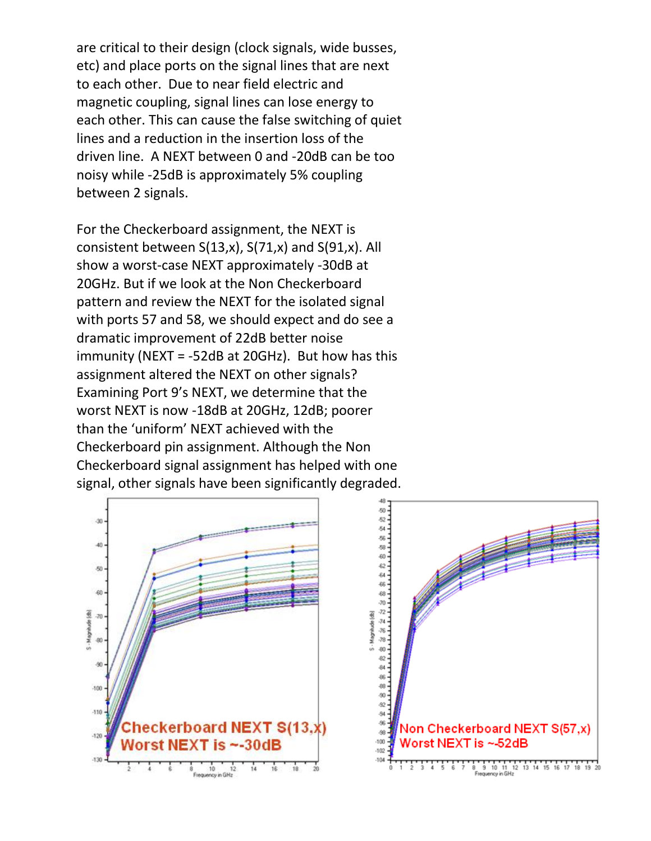are critical to their design (clock signals, wide busses, etc) and place ports on the signal lines that are next to each other. Due to near field electric and magnetic coupling, signal lines can lose energy to each other. This can cause the false switching of quiet lines and a reduction in the insertion loss of the driven line. A NEXT between 0 and -20dB can be too noisy while -25dB is approximately 5% coupling between 2 signals.

For the Checkerboard assignment, the NEXT is consistent between S(13,x), S(71,x) and S(91,x). All show a worst-case NEXT approximately -30dB at 20GHz. But if we look at the Non Checkerboard pattern and review the NEXT for the isolated signal with ports 57 and 58, we should expect and do see a dramatic improvement of 22dB better noise immunity (NEXT = -52dB at 20GHz). But how has this assignment altered the NEXT on other signals? Examining Port 9's NEXT, we determine that the worst NEXT is now -18dB at 20GHz, 12dB; poorer than the 'uniform' NEXT achieved with the Checkerboard pin assignment. Although the Non Checkerboard signal assignment has helped with one signal, other signals have been significantly degraded.



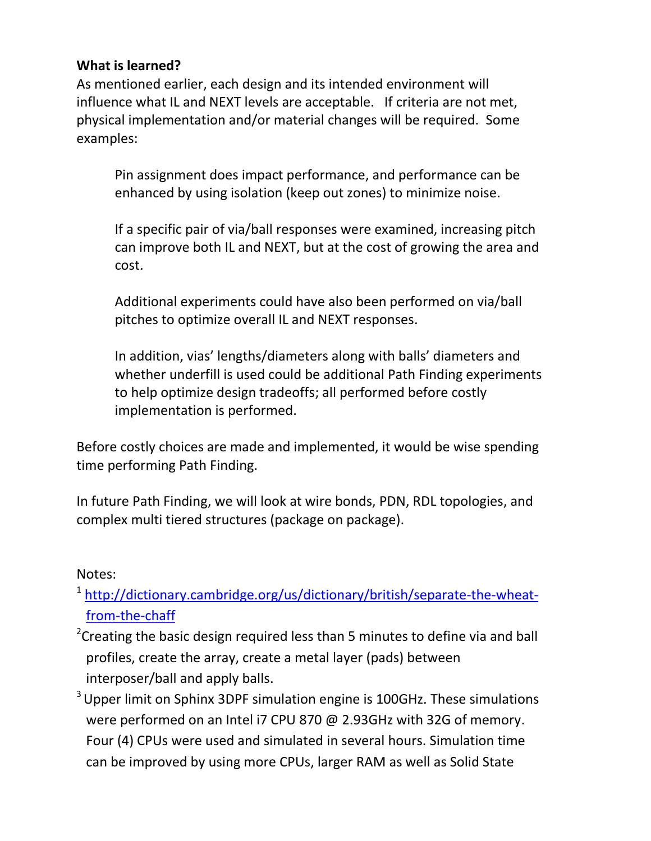# **What is learned?**

As mentioned earlier, each design and its intended environment will influence what IL and NEXT levels are acceptable. If criteria are not met, physical implementation and/or material changes will be required. Some examples:

Pin assignment does impact performance, and performance can be enhanced by using isolation (keep out zones) to minimize noise.

If a specific pair of via/ball responses were examined, increasing pitch can improve both IL and NEXT, but at the cost of growing the area and cost.

Additional experiments could have also been performed on via/ball pitches to optimize overall IL and NEXT responses.

In addition, vias' lengths/diameters along with balls' diameters and whether underfill is used could be additional Path Finding experiments to help optimize design tradeoffs; all performed before costly implementation is performed.

Before costly choices are made and implemented, it would be wise spending time performing Path Finding.

In future Path Finding, we will look at wire bonds, PDN, RDL topologies, and complex multi tiered structures (package on package).

## Notes:

- <sup>1</sup> [http://dictionary.cambridge.org/us/dictionary/british/separate-the-wheat](http://dictionary.cambridge.org/us/dictionary/british/separate-the-wheat-from-the-chaff)[from-the-chaff](http://dictionary.cambridge.org/us/dictionary/british/separate-the-wheat-from-the-chaff)
- <sup>2</sup>Creating the basic design required less than 5 minutes to define via and ball profiles, create the array, create a metal layer (pads) between interposer/ball and apply balls.
- <sup>3</sup> Upper limit on Sphinx 3DPF simulation engine is 100GHz. These simulations were performed on an Intel i7 CPU 870 @ 2.93GHz with 32G of memory. Four (4) CPUs were used and simulated in several hours. Simulation time can be improved by using more CPUs, larger RAM as well as Solid State